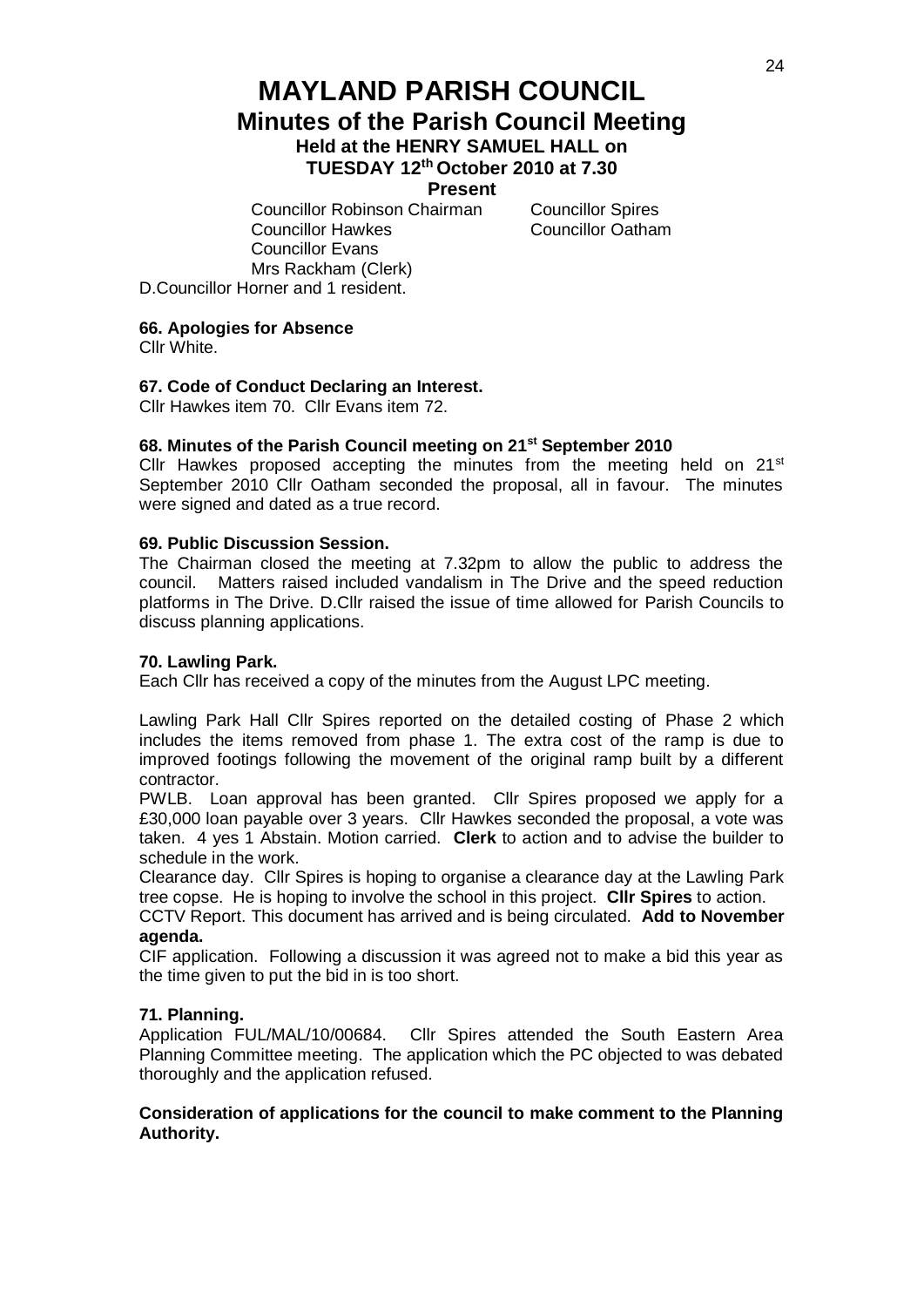# **MAYLAND PARISH COUNCIL Minutes of the Parish Council Meeting Held at the HENRY SAMUEL HALL on TUESDAY 12th October 2010 at 7.30**

#### **Present**

**Councillor Robinson Chairman** Councillor Spires<br>
Councillor Hawkes
Councillor Oatham Councillor Hawkes Councillor Evans Mrs Rackham (Clerk) D.Councillor Horner and 1 resident.

**66. Apologies for Absence**

Cllr White.

## **67. Code of Conduct Declaring an Interest.**

Cllr Hawkes item 70. Cllr Evans item 72.

#### **68. Minutes of the Parish Council meeting on 21st September 2010**

Cllr Hawkes proposed accepting the minutes from the meeting held on  $21<sup>st</sup>$ September 2010 Cllr Oatham seconded the proposal, all in favour. The minutes were signed and dated as a true record.

#### **69. Public Discussion Session.**

The Chairman closed the meeting at 7.32pm to allow the public to address the council. Matters raised included vandalism in The Drive and the speed reduction platforms in The Drive. D.Cllr raised the issue of time allowed for Parish Councils to discuss planning applications.

#### **70. Lawling Park.**

Each Cllr has received a copy of the minutes from the August LPC meeting.

Lawling Park Hall Cllr Spires reported on the detailed costing of Phase 2 which includes the items removed from phase 1. The extra cost of the ramp is due to improved footings following the movement of the original ramp built by a different contractor.

PWLB. Loan approval has been granted. Cllr Spires proposed we apply for a £30,000 loan payable over 3 years. Cllr Hawkes seconded the proposal, a vote was taken. 4 yes 1 Abstain. Motion carried. **Clerk** to action and to advise the builder to schedule in the work.

Clearance day. Cllr Spires is hoping to organise a clearance day at the Lawling Park tree copse. He is hoping to involve the school in this project. **Cllr Spires** to action.

CCTV Report. This document has arrived and is being circulated. **Add to November agenda.**

CIF application. Following a discussion it was agreed not to make a bid this year as the time given to put the bid in is too short.

## **71. Planning.**

Application FUL/MAL/10/00684. Cllr Spires attended the South Eastern Area Planning Committee meeting. The application which the PC objected to was debated thoroughly and the application refused.

## **Consideration of applications for the council to make comment to the Planning Authority.**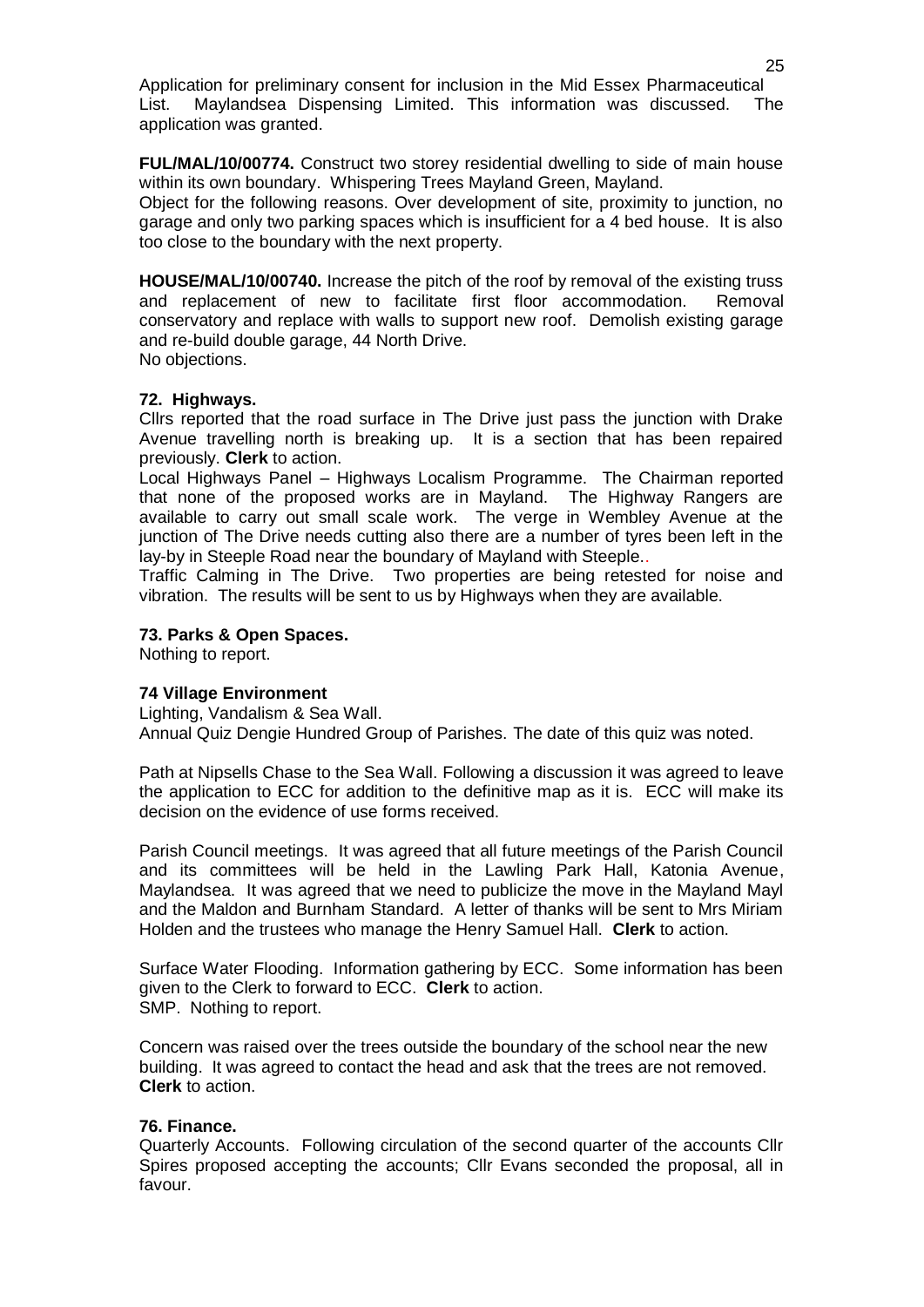Application for preliminary consent for inclusion in the Mid Essex Pharmaceutical List. Maylandsea Dispensing Limited. This information was discussed. The application was granted.

**FUL/MAL/10/00774.** Construct two storey residential dwelling to side of main house within its own boundary. Whispering Trees Mayland Green, Mayland.

Object for the following reasons. Over development of site, proximity to junction, no garage and only two parking spaces which is insufficient for a 4 bed house. It is also too close to the boundary with the next property.

**HOUSE/MAL/10/00740.** Increase the pitch of the roof by removal of the existing truss and replacement of new to facilitate first floor accommodation. Removal conservatory and replace with walls to support new roof. Demolish existing garage and re-build double garage, 44 North Drive. No objections.

**72. Highways.**

Cllrs reported that the road surface in The Drive just pass the junction with Drake Avenue travelling north is breaking up. It is a section that has been repaired previously. **Clerk** to action.

Local Highways Panel – Highways Localism Programme. The Chairman reported that none of the proposed works are in Mayland. The Highway Rangers are available to carry out small scale work. The verge in Wembley Avenue at the junction of The Drive needs cutting also there are a number of tyres been left in the lay-by in Steeple Road near the boundary of Mayland with Steeple..

Traffic Calming in The Drive. Two properties are being retested for noise and vibration. The results will be sent to us by Highways when they are available.

## **73. Parks & Open Spaces.**

Nothing to report.

# **74 Village Environment**

Lighting, Vandalism & Sea Wall.

Annual Quiz Dengie Hundred Group of Parishes. The date of this quiz was noted.

Path at Nipsells Chase to the Sea Wall. Following a discussion it was agreed to leave the application to ECC for addition to the definitive map as it is. ECC will make its decision on the evidence of use forms received.

Parish Council meetings. It was agreed that all future meetings of the Parish Council and its committees will be held in the Lawling Park Hall, Katonia Avenue, Maylandsea. It was agreed that we need to publicize the move in the Mayland Mayl and the Maldon and Burnham Standard. A letter of thanks will be sent to Mrs Miriam Holden and the trustees who manage the Henry Samuel Hall. **Clerk** to action.

Surface Water Flooding. Information gathering by ECC. Some information has been given to the Clerk to forward to ECC. **Clerk** to action. SMP. Nothing to report.

Concern was raised over the trees outside the boundary of the school near the new building. It was agreed to contact the head and ask that the trees are not removed. **Clerk** to action.

# **76. Finance.**

Quarterly Accounts. Following circulation of the second quarter of the accounts Cllr Spires proposed accepting the accounts; Cllr Evans seconded the proposal, all in favour.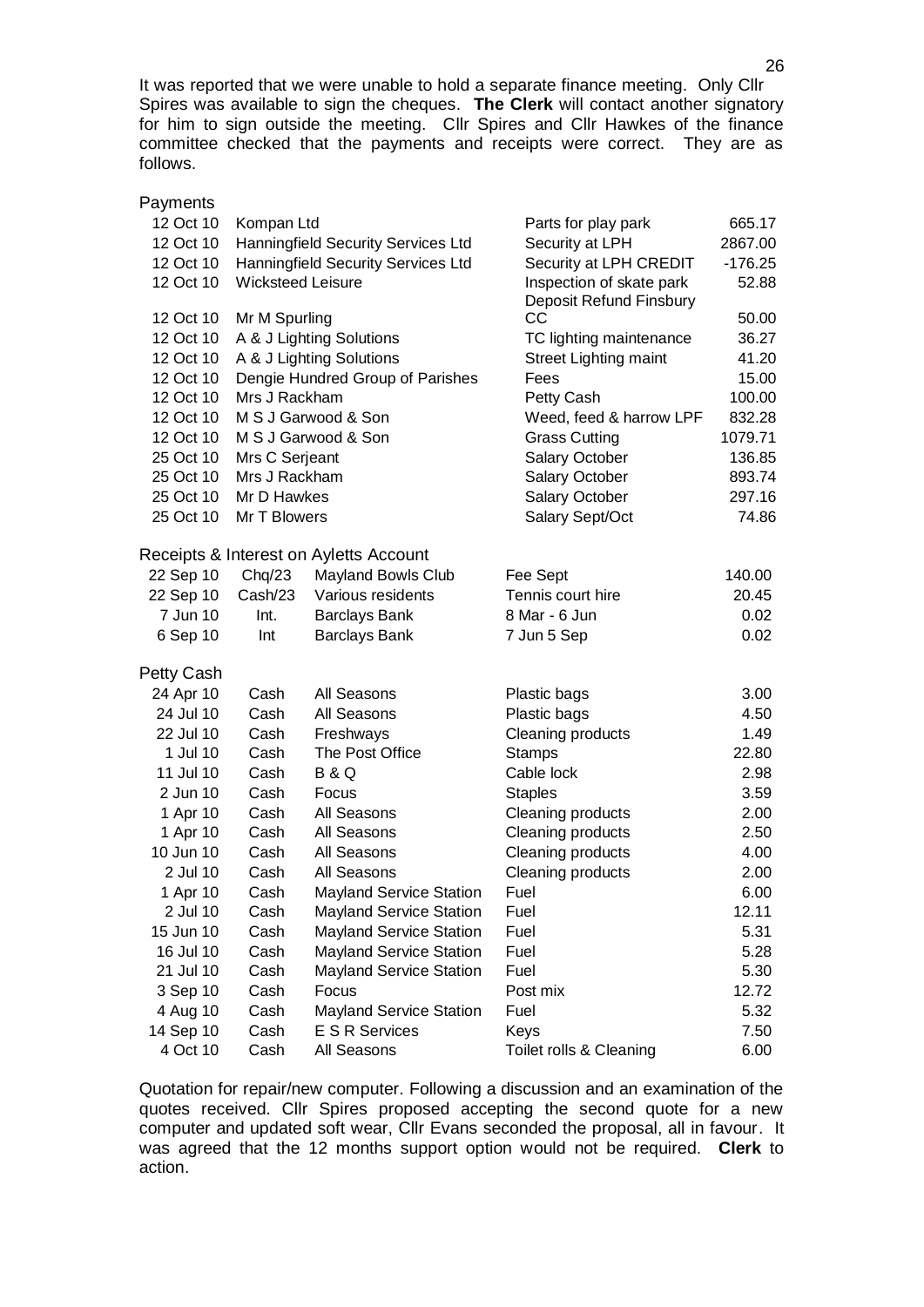It was reported that we were unable to hold a separate finance meeting. Only Cllr Spires was available to sign the cheques. **The Clerk** will contact another signatory for him to sign outside the meeting. Cllr Spires and Cllr Hawkes of the finance committee checked that the payments and receipts were correct. They are as follows.

| Payments   |                                    |                                        |                              |           |
|------------|------------------------------------|----------------------------------------|------------------------------|-----------|
| 12 Oct 10  | Kompan Ltd                         |                                        | Parts for play park          | 665.17    |
| 12 Oct 10  | Hanningfield Security Services Ltd |                                        | Security at LPH              | 2867.00   |
| 12 Oct 10  | Hanningfield Security Services Ltd |                                        | Security at LPH CREDIT       | $-176.25$ |
| 12 Oct 10  | <b>Wicksteed Leisure</b>           |                                        | Inspection of skate park     | 52.88     |
|            |                                    |                                        | Deposit Refund Finsbury      |           |
| 12 Oct 10  | Mr M Spurling                      |                                        | CС                           | 50.00     |
| 12 Oct 10  | A & J Lighting Solutions           |                                        | TC lighting maintenance      | 36.27     |
| 12 Oct 10  | A & J Lighting Solutions           |                                        | <b>Street Lighting maint</b> | 41.20     |
| 12 Oct 10  | Dengie Hundred Group of Parishes   |                                        | Fees                         | 15.00     |
| 12 Oct 10  | Mrs J Rackham                      |                                        | Petty Cash                   | 100.00    |
| 12 Oct 10  | M S J Garwood & Son                |                                        | Weed, feed & harrow LPF      | 832.28    |
| 12 Oct 10  | M S J Garwood & Son                |                                        | <b>Grass Cutting</b>         | 1079.71   |
| 25 Oct 10  | Mrs C Serjeant                     |                                        | Salary October               | 136.85    |
| 25 Oct 10  | Mrs J Rackham                      |                                        | Salary October               | 893.74    |
| 25 Oct 10  | Mr D Hawkes                        |                                        | Salary October               | 297.16    |
| 25 Oct 10  | Mr T Blowers                       |                                        | Salary Sept/Oct              | 74.86     |
|            |                                    | Receipts & Interest on Ayletts Account |                              |           |
| 22 Sep 10  | Chq/23                             | <b>Mayland Bowls Club</b>              | Fee Sept                     | 140.00    |
| 22 Sep 10  | Cash/23                            | Various residents                      | Tennis court hire            | 20.45     |
| 7 Jun 10   | Int.                               | <b>Barclays Bank</b>                   | 8 Mar - 6 Jun                | 0.02      |
| 6 Sep 10   | Int                                | <b>Barclays Bank</b>                   | 7 Jun 5 Sep                  | 0.02      |
| Petty Cash |                                    |                                        |                              |           |
| 24 Apr 10  | Cash                               | All Seasons                            | Plastic bags                 | 3.00      |
| 24 Jul 10  | Cash                               | All Seasons                            | Plastic bags                 | 4.50      |
| 22 Jul 10  | Cash                               | Freshways                              | Cleaning products            | 1.49      |
| 1 Jul 10   | Cash                               | The Post Office                        | <b>Stamps</b>                | 22.80     |
| 11 Jul 10  | Cash                               | <b>B&amp;Q</b>                         | Cable lock                   | 2.98      |
| 2 Jun 10   | Cash                               | Focus                                  | <b>Staples</b>               | 3.59      |
| 1 Apr 10   | Cash                               | All Seasons                            | Cleaning products            | 2.00      |
| 1 Apr 10   | Cash                               | All Seasons                            | Cleaning products            | 2.50      |
| 10 Jun 10  | Cash                               | All Seasons                            | Cleaning products            | 4.00      |
| 2 Jul 10   | Cash                               | All Seasons                            | Cleaning products            | 2.00      |
| 1 Apr 10   | Cash                               | <b>Mayland Service Station</b>         | Fuel                         | 6.00      |
| 2 Jul 10   | Cash                               | <b>Mayland Service Station</b>         | Fuel                         | 12.11     |
| 15 Jun 10  | Cash                               | <b>Mayland Service Station</b>         | Fuel                         | 5.31      |
| 16 Jul 10  | Cash                               | <b>Mayland Service Station</b>         | Fuel                         | 5.28      |
| 21 Jul 10  | Cash                               | <b>Mayland Service Station</b>         | Fuel                         | 5.30      |
| 3 Sep 10   | Cash                               | Focus                                  | Post mix                     | 12.72     |
| 4 Aug 10   | Cash                               | <b>Mayland Service Station</b>         | Fuel                         | 5.32      |
| 14 Sep 10  | Cash                               | E S R Services                         | Keys                         | 7.50      |
| 4 Oct 10   | Cash                               | All Seasons                            | Toilet rolls & Cleaning      | 6.00      |

Quotation for repair/new computer. Following a discussion and an examination of the quotes received. Cllr Spires proposed accepting the second quote for a new computer and updated soft wear, Cllr Evans seconded the proposal, all in favour. It was agreed that the 12 months support option would not be required. **Clerk** to action.